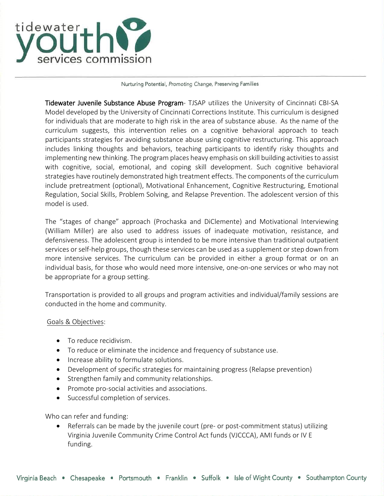

## Nurturing Potential, Promoting Change, Preserving Families

Tidewater Juvenile Substance Abuse Program- TJSAP utilizes the University of Cincinnati CBI-SA Model developed by the University of Cincinnati Corrections Institute. This curriculum is designed for individuals that are moderate to high risk in the area of substance abuse. As the name of the curriculum suggests, this intervention relies on a cognitive behavioral approach to teach participants strategies for avoiding substance abuse using cognitive restructuring. This approach includes linking thoughts and behaviors, teaching participants to identify risky thoughts and implementing new thinking. The program places heavy emphasis on skill building activities to assist with cognitive, social, emotional, and coping skill development. Such cognitive behavioral strategies have routinely demonstrated high treatment effects. The components of the curriculum include pretreatment (optional), Motivational Enhancement, Cognitive Restructuring, Emotional Regulation, Social Skills, Problem Solving, and Relapse Prevention. The adolescent version of this model is used.

The "stages of change" approach (Prochaska and DiClemente) and Motivational Interviewing (William Miller) are also used to address issues of inadequate motivation, resistance, and defensiveness. The adolescent group is intended to be more intensive than traditional outpatient services or self-help groups, though these services can be used as a supplement or step down from more intensive services. The curriculum can be provided in either a group format or on an individual basis, for those who would need more intensive, one-on-one services or who may not be appropriate for a group setting.

Transportation is provided to all groups and program activities and individual/family sessions are conducted in the home and community.

## Goals & Objectives:

- To reduce recidivism.
- To reduce or eliminate the incidence and frequency of substance use.
- Increase ability to formulate solutions.
- Development of specific strategies for maintaining progress (Relapse prevention)
- Strengthen family and community relationships.
- Promote pro-social activities and associations.
- Successful completion of services.

Who can refer and funding:

• Referrals can be made by the juvenile court (pre- or post-commitment status) utilizing Virginia Juvenile Community Crime Control Act funds (VJCCCA), AMI funds or IV E funding.